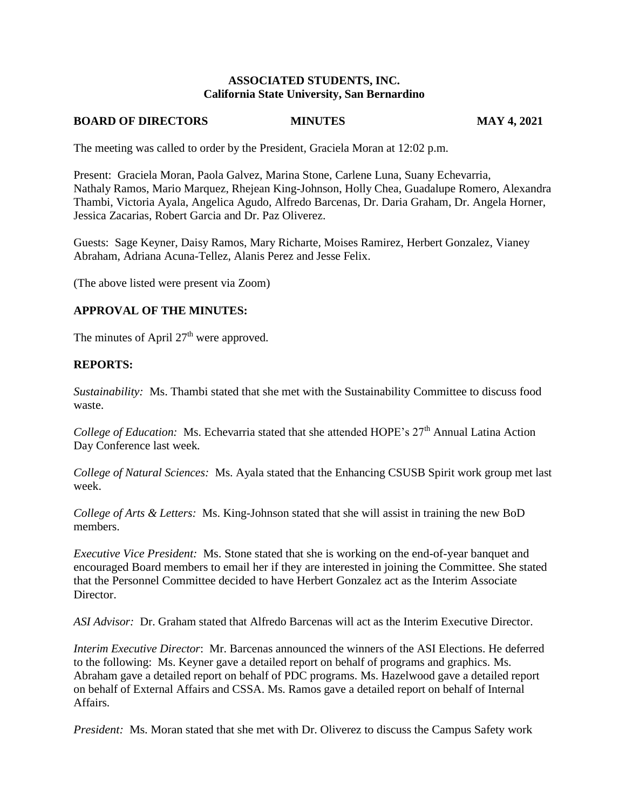## **ASSOCIATED STUDENTS, INC. California State University, San Bernardino**

## **BOARD OF DIRECTORS MINUTES MAY 4, 2021**

The meeting was called to order by the President, Graciela Moran at 12:02 p.m.

Present: Graciela Moran, Paola Galvez, Marina Stone, Carlene Luna, Suany Echevarria, Nathaly Ramos, Mario Marquez, Rhejean King-Johnson, Holly Chea, Guadalupe Romero, Alexandra Thambi, Victoria Ayala, Angelica Agudo, Alfredo Barcenas, Dr. Daria Graham, Dr. Angela Horner, Jessica Zacarias, Robert Garcia and Dr. Paz Oliverez.

Guests: Sage Keyner, Daisy Ramos, Mary Richarte, Moises Ramirez, Herbert Gonzalez, Vianey Abraham, Adriana Acuna-Tellez, Alanis Perez and Jesse Felix.

(The above listed were present via Zoom)

## **APPROVAL OF THE MINUTES:**

The minutes of April  $27<sup>th</sup>$  were approved.

## **REPORTS:**

*Sustainability:* Ms. Thambi stated that she met with the Sustainability Committee to discuss food waste.

*College of Education:* Ms. Echevarria stated that she attended HOPE's 27<sup>th</sup> Annual Latina Action Day Conference last week*.* 

*College of Natural Sciences:* Ms. Ayala stated that the Enhancing CSUSB Spirit work group met last week.

*College of Arts & Letters:* Ms. King-Johnson stated that she will assist in training the new BoD members.

*Executive Vice President:* Ms. Stone stated that she is working on the end-of-year banquet and encouraged Board members to email her if they are interested in joining the Committee. She stated that the Personnel Committee decided to have Herbert Gonzalez act as the Interim Associate Director.

*ASI Advisor:* Dr. Graham stated that Alfredo Barcenas will act as the Interim Executive Director.

*Interim Executive Director*: Mr. Barcenas announced the winners of the ASI Elections. He deferred to the following: Ms. Keyner gave a detailed report on behalf of programs and graphics. Ms. Abraham gave a detailed report on behalf of PDC programs. Ms. Hazelwood gave a detailed report on behalf of External Affairs and CSSA. Ms. Ramos gave a detailed report on behalf of Internal Affairs.

*President:* Ms. Moran stated that she met with Dr. Oliverez to discuss the Campus Safety work